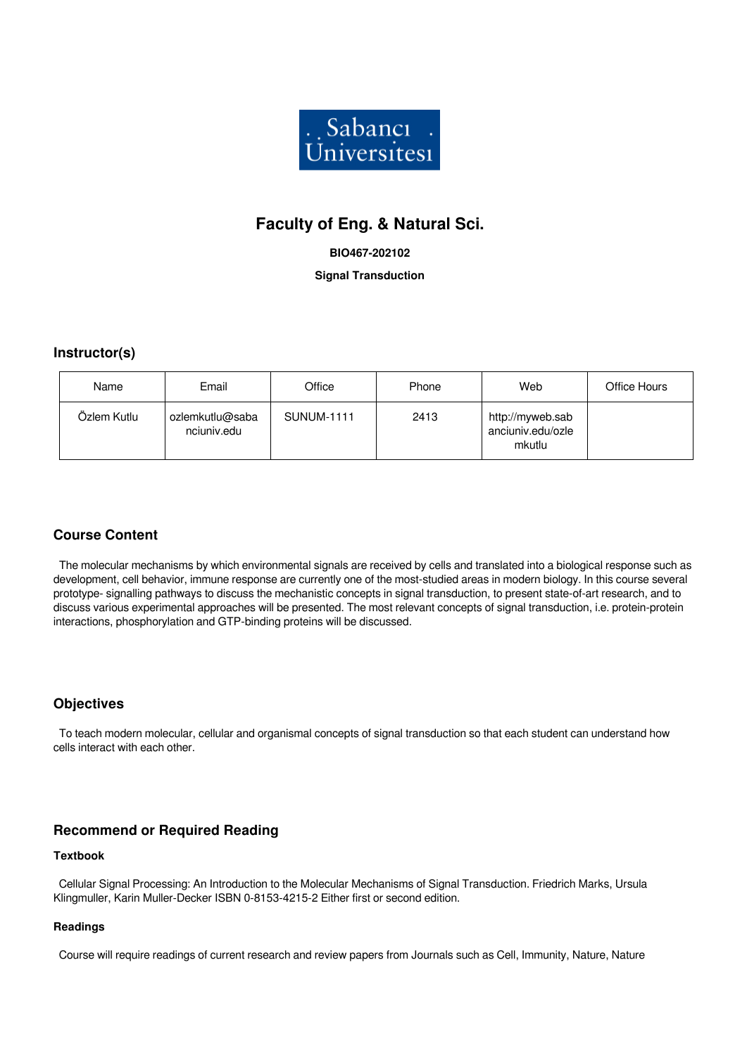

# **Faculty of Eng. & Natural Sci.**

### **BIO467-202102**

**Signal Transduction**

### **Instructor(s)**

| Name        | Email                          | Office            | Phone | Web                                             | Office Hours |
|-------------|--------------------------------|-------------------|-------|-------------------------------------------------|--------------|
| Özlem Kutlu | ozlemkutlu@saba<br>nciuniv.edu | <b>SUNUM-1111</b> | 2413  | http://myweb.sab<br>anciuniv.edu/ozle<br>mkutlu |              |

### **Course Content**

 The molecular mechanisms by which environmental signals are received by cells and translated into a biological response such as development, cell behavior, immune response are currently one of the most-studied areas in modern biology. In this course several prototype- signalling pathways to discuss the mechanistic concepts in signal transduction, to present state-of-art research, and to discuss various experimental approaches will be presented. The most relevant concepts of signal transduction, i.e. protein-protein interactions, phosphorylation and GTP-binding proteins will be discussed.

### **Objectives**

 To teach modern molecular, cellular and organismal concepts of signal transduction so that each student can understand how cells interact with each other.

### **Recommend or Required Reading**

#### **Textbook**

 Cellular Signal Processing: An Introduction to the Molecular Mechanisms of Signal Transduction. Friedrich Marks, Ursula Klingmuller, Karin Muller-Decker ISBN 0-8153-4215-2 Either first or second edition.

#### **Readings**

Course will require readings of current research and review papers from Journals such as Cell, Immunity, Nature, Nature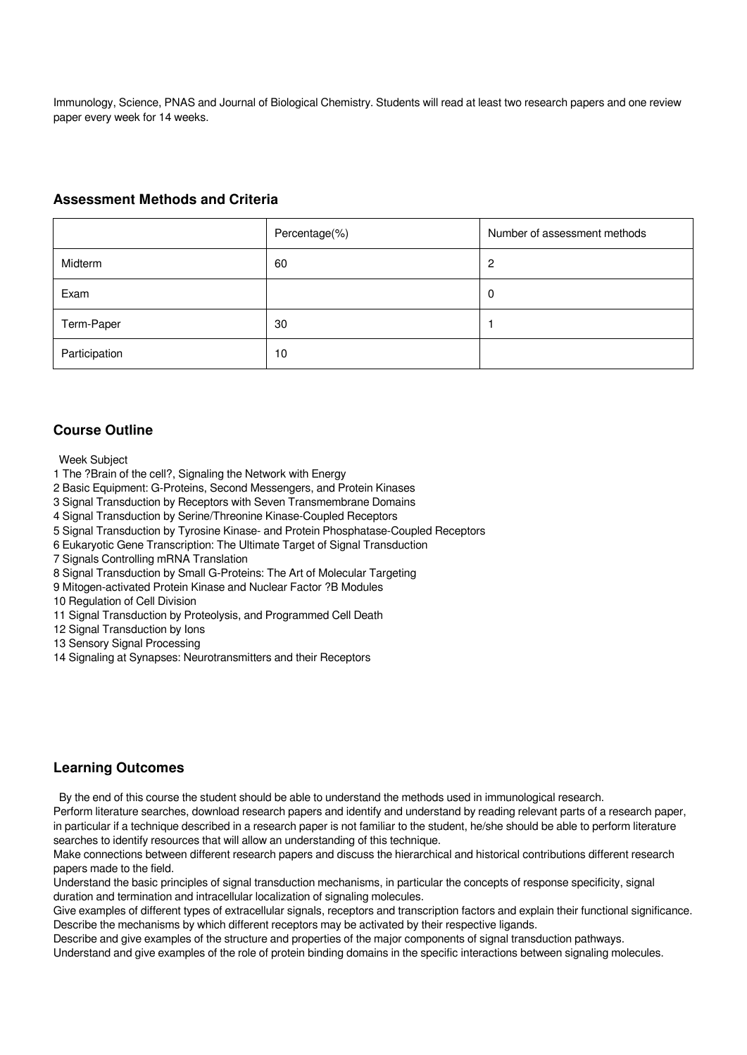Immunology, Science, PNAS and Journal of Biological Chemistry. Students will read at least two research papers and one review paper every week for 14 weeks.

### **Assessment Methods and Criteria**

|               | Percentage(%) | Number of assessment methods |
|---------------|---------------|------------------------------|
| Midterm       | 60            | 2                            |
| Exam          |               | 0                            |
| Term-Paper    | 30            |                              |
| Participation | 10            |                              |

### **Course Outline**

Week Subject

- 1 The ?Brain of the cell?, Signaling the Network with Energy
- 2 Basic Equipment: G-Proteins, Second Messengers, and Protein Kinases
- 3 Signal Transduction by Receptors with Seven Transmembrane Domains
- 4 Signal Transduction by Serine/Threonine Kinase-Coupled Receptors
- 5 Signal Transduction by Tyrosine Kinase- and Protein Phosphatase-Coupled Receptors
- 6 Eukaryotic Gene Transcription: The Ultimate Target of Signal Transduction
- 7 Signals Controlling mRNA Translation
- 8 Signal Transduction by Small G-Proteins: The Art of Molecular Targeting
- 9 Mitogen-activated Protein Kinase and Nuclear Factor ?B Modules
- 10 Regulation of Cell Division
- 11 Signal Transduction by Proteolysis, and Programmed Cell Death
- 12 Signal Transduction by Ions
- 13 Sensory Signal Processing
- 14 Signaling at Synapses: Neurotransmitters and their Receptors

### **Learning Outcomes**

By the end of this course the student should be able to understand the methods used in immunological research.

Perform literature searches, download research papers and identify and understand by reading relevant parts of a research paper, in particular if a technique described in a research paper is not familiar to the student, he/she should be able to perform literature searches to identify resources that will allow an understanding of this technique.

Make connections between different research papers and discuss the hierarchical and historical contributions different research papers made to the field.

Understand the basic principles of signal transduction mechanisms, in particular the concepts of response specificity, signal duration and termination and intracellular localization of signaling molecules.

Give examples of different types of extracellular signals, receptors and transcription factors and explain their functional significance. Describe the mechanisms by which different receptors may be activated by their respective ligands.

Describe and give examples of the structure and properties of the major components of signal transduction pathways.

Understand and give examples of the role of protein binding domains in the specific interactions between signaling molecules.